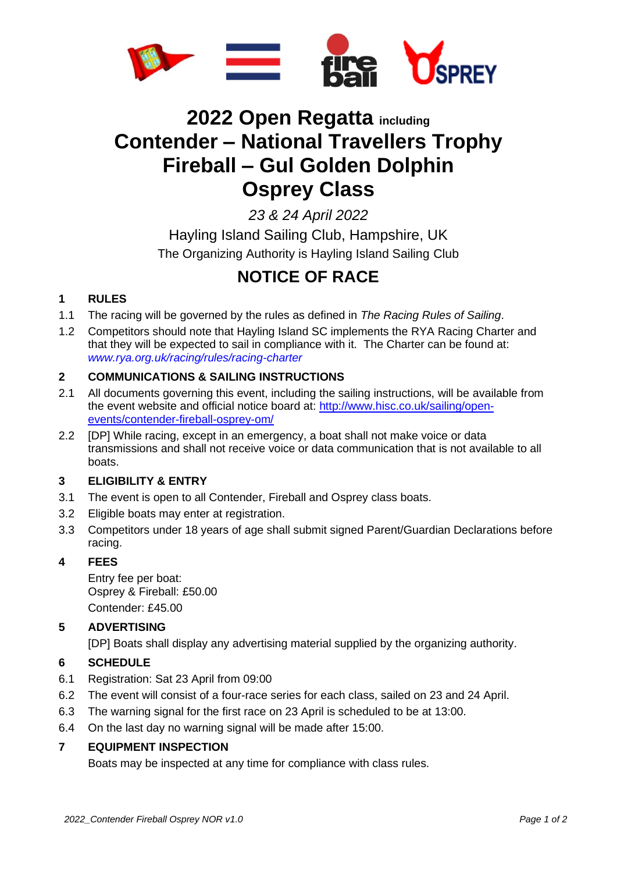

# **2022 Open Regatta including Contender – National Travellers Trophy Fireball – Gul Golden Dolphin Osprey Class**

*23 & 24 April 2022*

Hayling Island Sailing Club, Hampshire, UK The Organizing Authority is Hayling Island Sailing Club

# **NOTICE OF RACE**

# **1 RULES**

- 1.1 The racing will be governed by the rules as defined in *The Racing Rules of Sailing*.
- 1.2 Competitors should note that Hayling Island SC implements the RYA Racing Charter and that they will be expected to sail in compliance with it. The Charter can be found at: *[www.rya.org.uk/racing/rules/racing-charter](http://www.rya.org.uk/racing/rules/racing-charter)*

# **2 COMMUNICATIONS & SAILING INSTRUCTIONS**

- 2.1 All documents governing this event, including the sailing instructions, will be available from the event website and official notice board at: [http://www.hisc.co.uk/sailing/open](http://www.hisc.co.uk/sailing/open-events/contender-fireball-osprey-om/)[events/contender-fireball-osprey-om/](http://www.hisc.co.uk/sailing/open-events/contender-fireball-osprey-om/)
- 2.2 [DP] While racing, except in an emergency, a boat shall not make voice or data transmissions and shall not receive voice or data communication that is not available to all boats.

#### **3 ELIGIBILITY & ENTRY**

- 3.1 The event is open to all Contender, Fireball and Osprey class boats.
- 3.2 Eligible boats may enter at registration.
- 3.3 Competitors under 18 years of age shall submit signed Parent/Guardian Declarations before racing.

#### **4 FEES**

Entry fee per boat: Osprey & Fireball: £50.00 Contender: £45.00

#### **5 ADVERTISING**

[DP] Boats shall display any advertising material supplied by the organizing authority.

#### **6 SCHEDULE**

- 6.1 Registration: Sat 23 April from 09:00
- 6.2 The event will consist of a four-race series for each class, sailed on 23 and 24 April.
- 6.3 The warning signal for the first race on 23 April is scheduled to be at 13:00.
- 6.4 On the last day no warning signal will be made after 15:00.

# **7 EQUIPMENT INSPECTION**

Boats may be inspected at any time for compliance with class rules.